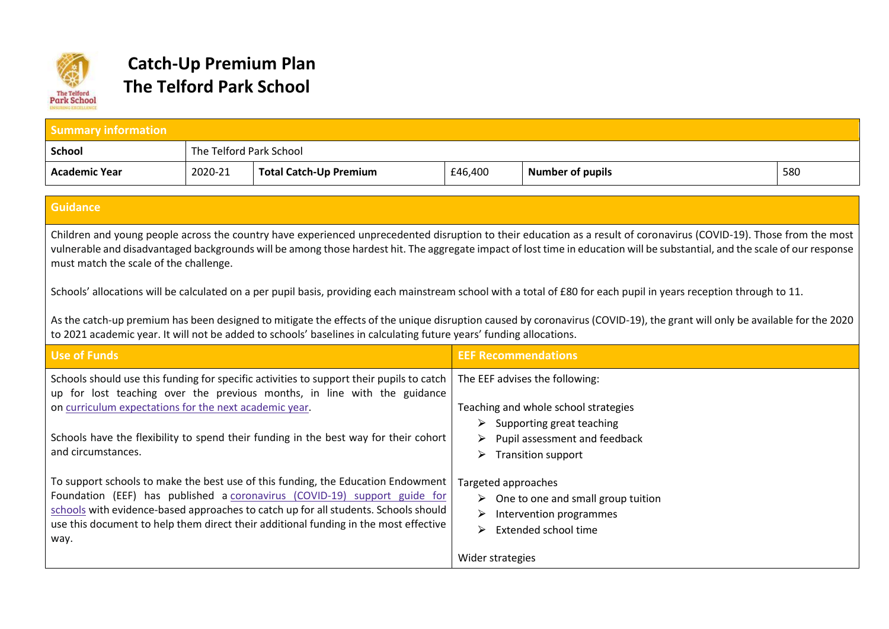

## **Catch-Up Premium Plan The Telford Park School**

| <b>Summary information</b>                                                                                                                                                                                                                                                                                                                                                                                                                                                                                                                                                                                                                                                                                                                                                                                                                                                |                         |                                                                                                                                                                                                                                                                                                                                              |                            |                                                                                                        |     |
|---------------------------------------------------------------------------------------------------------------------------------------------------------------------------------------------------------------------------------------------------------------------------------------------------------------------------------------------------------------------------------------------------------------------------------------------------------------------------------------------------------------------------------------------------------------------------------------------------------------------------------------------------------------------------------------------------------------------------------------------------------------------------------------------------------------------------------------------------------------------------|-------------------------|----------------------------------------------------------------------------------------------------------------------------------------------------------------------------------------------------------------------------------------------------------------------------------------------------------------------------------------------|----------------------------|--------------------------------------------------------------------------------------------------------|-----|
| <b>School</b>                                                                                                                                                                                                                                                                                                                                                                                                                                                                                                                                                                                                                                                                                                                                                                                                                                                             | The Telford Park School |                                                                                                                                                                                                                                                                                                                                              |                            |                                                                                                        |     |
| <b>Academic Year</b>                                                                                                                                                                                                                                                                                                                                                                                                                                                                                                                                                                                                                                                                                                                                                                                                                                                      | 2020-21                 | <b>Total Catch-Up Premium</b>                                                                                                                                                                                                                                                                                                                | £46,400                    | <b>Number of pupils</b>                                                                                | 580 |
|                                                                                                                                                                                                                                                                                                                                                                                                                                                                                                                                                                                                                                                                                                                                                                                                                                                                           |                         |                                                                                                                                                                                                                                                                                                                                              |                            |                                                                                                        |     |
| <b>Guidance</b>                                                                                                                                                                                                                                                                                                                                                                                                                                                                                                                                                                                                                                                                                                                                                                                                                                                           |                         |                                                                                                                                                                                                                                                                                                                                              |                            |                                                                                                        |     |
| Children and young people across the country have experienced unprecedented disruption to their education as a result of coronavirus (COVID-19). Those from the most<br>vulnerable and disadvantaged backgrounds will be among those hardest hit. The aggregate impact of lost time in education will be substantial, and the scale of our response<br>must match the scale of the challenge.<br>Schools' allocations will be calculated on a per pupil basis, providing each mainstream school with a total of £80 for each pupil in years reception through to 11.<br>As the catch-up premium has been designed to mitigate the effects of the unique disruption caused by coronavirus (COVID-19), the grant will only be available for the 2020<br>to 2021 academic year. It will not be added to schools' baselines in calculating future years' funding allocations. |                         |                                                                                                                                                                                                                                                                                                                                              |                            |                                                                                                        |     |
| <b>Use of Funds</b>                                                                                                                                                                                                                                                                                                                                                                                                                                                                                                                                                                                                                                                                                                                                                                                                                                                       |                         |                                                                                                                                                                                                                                                                                                                                              | <b>EEF Recommendations</b> |                                                                                                        |     |
| Schools should use this funding for specific activities to support their pupils to catch<br>The EEF advises the following:<br>up for lost teaching over the previous months, in line with the guidance<br>on curriculum expectations for the next academic year.<br>Teaching and whole school strategies<br>Supporting great teaching<br>➤<br>Schools have the flexibility to spend their funding in the best way for their cohort<br>Pupil assessment and feedback<br>➤<br>and circumstances.<br><b>Transition support</b><br>⋗                                                                                                                                                                                                                                                                                                                                          |                         |                                                                                                                                                                                                                                                                                                                                              |                            |                                                                                                        |     |
| way.                                                                                                                                                                                                                                                                                                                                                                                                                                                                                                                                                                                                                                                                                                                                                                                                                                                                      |                         | To support schools to make the best use of this funding, the Education Endowment<br>Foundation (EEF) has published a coronavirus (COVID-19) support guide for<br>schools with evidence-based approaches to catch up for all students. Schools should<br>use this document to help them direct their additional funding in the most effective | Targeted approaches<br>⋗   | $\triangleright$ One to one and small group tuition<br>Intervention programmes<br>Extended school time |     |

Wider strategies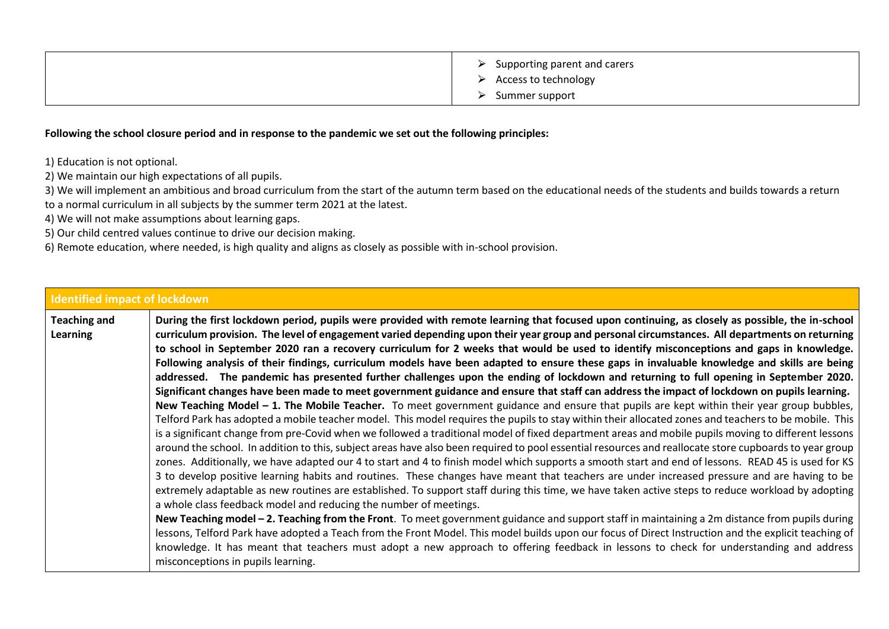| $\triangleright$ Supporting parent and carers<br>$\triangleright$ Access to technology |
|----------------------------------------------------------------------------------------|
| Summer support                                                                         |

## **Following the school closure period and in response to the pandemic we set out the following principles:**

1) Education is not optional.

2) We maintain our high expectations of all pupils.

3) We will implement an ambitious and broad curriculum from the start of the autumn term based on the educational needs of the students and builds towards a return to a normal curriculum in all subjects by the summer term 2021 at the latest.

4) We will not make assumptions about learning gaps.

5) Our child centred values continue to drive our decision making.

6) Remote education, where needed, is high quality and aligns as closely as possible with in-school provision.

## **Identified impact of lockdown Teaching and Learning During the first lockdown period, pupils were provided with remote learning that focused upon continuing, as closely as possible, the in-school curriculum provision. The level of engagement varied depending upon their year group and personal circumstances. All departments on returning to school in September 2020 ran a recovery curriculum for 2 weeks that would be used to identify misconceptions and gaps in knowledge. Following analysis of their findings, curriculum models have been adapted to ensure these gaps in invaluable knowledge and skills are being addressed. The pandemic has presented further challenges upon the ending of lockdown and returning to full opening in September 2020. Significant changes have been made to meet government guidance and ensure that staff can address the impact of lockdown on pupils learning. New Teaching Model – 1. The Mobile Teacher.** To meet government guidance and ensure that pupils are kept within their year group bubbles, Telford Park has adopted a mobile teacher model. This model requires the pupils to stay within their allocated zones and teachers to be mobile. This is a significant change from pre-Covid when we followed a traditional model of fixed department areas and mobile pupils moving to different lessons around the school. In addition to this, subject areas have also been required to pool essential resources and reallocate store cupboards to year group zones. Additionally, we have adapted our 4 to start and 4 to finish model which supports a smooth start and end of lessons. READ 45 is used for KS 3 to develop positive learning habits and routines. These changes have meant that teachers are under increased pressure and are having to be extremely adaptable as new routines are established. To support staff during this time, we have taken active steps to reduce workload by adopting a whole class feedback model and reducing the number of meetings. **New Teaching model – 2. Teaching from the Front**. To meet government guidance and support staff in maintaining a 2m distance from pupils during lessons, Telford Park have adopted a Teach from the Front Model. This model builds upon our focus of Direct Instruction and the explicit teaching of knowledge. It has meant that teachers must adopt a new approach to offering feedback in lessons to check for understanding and address misconceptions in pupils learning.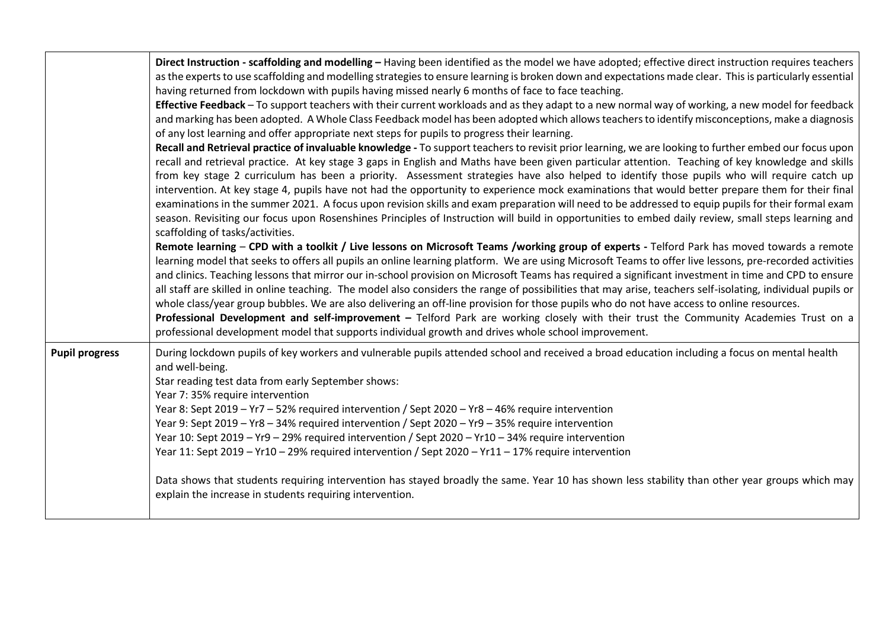|                       | Direct Instruction - scaffolding and modelling - Having been identified as the model we have adopted; effective direct instruction requires teachers<br>as the experts to use scaffolding and modelling strategies to ensure learning is broken down and expectations made clear. This is particularly essential<br>having returned from lockdown with pupils having missed nearly 6 months of face to face teaching.<br>Effective Feedback - To support teachers with their current workloads and as they adapt to a new normal way of working, a new model for feedback<br>and marking has been adopted. A Whole Class Feedback model has been adopted which allows teachers to identify misconceptions, make a diagnosis<br>of any lost learning and offer appropriate next steps for pupils to progress their learning.<br>Recall and Retrieval practice of invaluable knowledge - To support teachers to revisit prior learning, we are looking to further embed our focus upon<br>recall and retrieval practice. At key stage 3 gaps in English and Maths have been given particular attention. Teaching of key knowledge and skills<br>from key stage 2 curriculum has been a priority. Assessment strategies have also helped to identify those pupils who will require catch up<br>intervention. At key stage 4, pupils have not had the opportunity to experience mock examinations that would better prepare them for their final<br>examinations in the summer 2021. A focus upon revision skills and exam preparation will need to be addressed to equip pupils for their formal exam<br>season. Revisiting our focus upon Rosenshines Principles of Instruction will build in opportunities to embed daily review, small steps learning and<br>scaffolding of tasks/activities.<br>Remote learning - CPD with a toolkit / Live lessons on Microsoft Teams /working group of experts - Telford Park has moved towards a remote<br>learning model that seeks to offers all pupils an online learning platform. We are using Microsoft Teams to offer live lessons, pre-recorded activities<br>and clinics. Teaching lessons that mirror our in-school provision on Microsoft Teams has required a significant investment in time and CPD to ensure<br>all staff are skilled in online teaching. The model also considers the range of possibilities that may arise, teachers self-isolating, individual pupils or<br>whole class/year group bubbles. We are also delivering an off-line provision for those pupils who do not have access to online resources.<br>Professional Development and self-improvement - Telford Park are working closely with their trust the Community Academies Trust on a<br>professional development model that supports individual growth and drives whole school improvement. |
|-----------------------|---------------------------------------------------------------------------------------------------------------------------------------------------------------------------------------------------------------------------------------------------------------------------------------------------------------------------------------------------------------------------------------------------------------------------------------------------------------------------------------------------------------------------------------------------------------------------------------------------------------------------------------------------------------------------------------------------------------------------------------------------------------------------------------------------------------------------------------------------------------------------------------------------------------------------------------------------------------------------------------------------------------------------------------------------------------------------------------------------------------------------------------------------------------------------------------------------------------------------------------------------------------------------------------------------------------------------------------------------------------------------------------------------------------------------------------------------------------------------------------------------------------------------------------------------------------------------------------------------------------------------------------------------------------------------------------------------------------------------------------------------------------------------------------------------------------------------------------------------------------------------------------------------------------------------------------------------------------------------------------------------------------------------------------------------------------------------------------------------------------------------------------------------------------------------------------------------------------------------------------------------------------------------------------------------------------------------------------------------------------------------------------------------------------------------------------------------------------------------------------------------------------------------------------------------------------------------------------------------------------------------------------------------------------------------------------------------------------------------------------------------------------------------------------------------------------------------|
| <b>Pupil progress</b> | During lockdown pupils of key workers and vulnerable pupils attended school and received a broad education including a focus on mental health<br>and well-being.<br>Star reading test data from early September shows:<br>Year 7: 35% require intervention<br>Year 8: Sept 2019 - Yr7 - 52% required intervention / Sept 2020 - Yr8 - 46% require intervention<br>Year 9: Sept 2019 - Yr8 - 34% required intervention / Sept 2020 - Yr9 - 35% require intervention<br>Year 10: Sept 2019 - Yr9 - 29% required intervention / Sept 2020 - Yr10 - 34% require intervention<br>Year 11: Sept 2019 - Yr10 - 29% required intervention / Sept 2020 - Yr11 - 17% require intervention<br>Data shows that students requiring intervention has stayed broadly the same. Year 10 has shown less stability than other year groups which may<br>explain the increase in students requiring intervention.                                                                                                                                                                                                                                                                                                                                                                                                                                                                                                                                                                                                                                                                                                                                                                                                                                                                                                                                                                                                                                                                                                                                                                                                                                                                                                                                                                                                                                                                                                                                                                                                                                                                                                                                                                                                                                                                                                                             |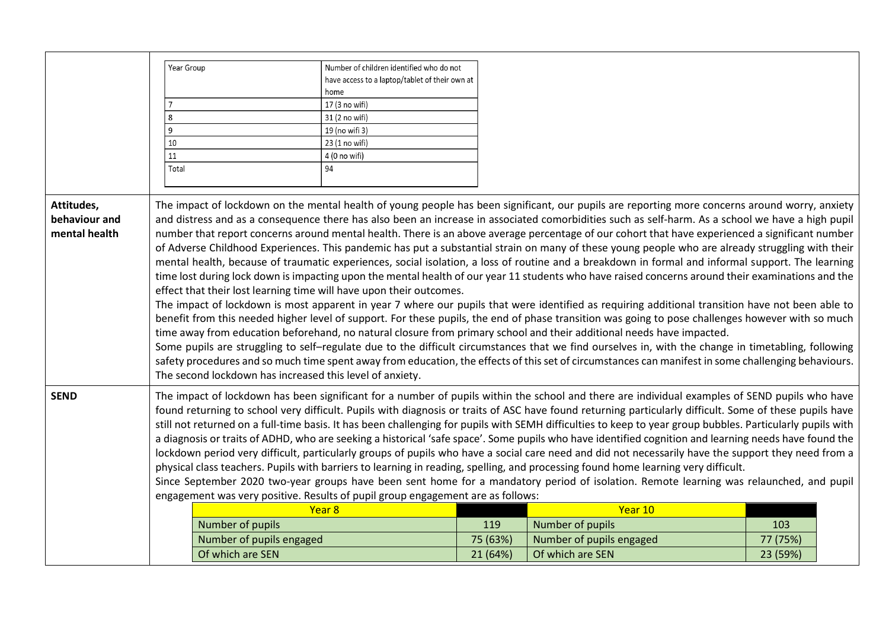|                                              | Year Group<br>8                                                                                                                                                                                                                                                                                                                                                                                                                                                                                                                                                                                                                                                                                                                                                                                                                                                                                                                                                                                                                                                                                                                                                       |                                                          | Number of children identified who do not<br>have access to a laptop/tablet of their own at<br>home<br>17 (3 no wifi)<br>31 (2 no wifi) |          |                                                                                                                                                                                                                                                                                                                                                                                                                                                                                                                                                                                                                                                                                                                                                                                                                                                                                                                                                                                                                                                                                                                                                                                                                                                                                                                                                                                                                                                                                                                                                                                                                                                                      |          |
|----------------------------------------------|-----------------------------------------------------------------------------------------------------------------------------------------------------------------------------------------------------------------------------------------------------------------------------------------------------------------------------------------------------------------------------------------------------------------------------------------------------------------------------------------------------------------------------------------------------------------------------------------------------------------------------------------------------------------------------------------------------------------------------------------------------------------------------------------------------------------------------------------------------------------------------------------------------------------------------------------------------------------------------------------------------------------------------------------------------------------------------------------------------------------------------------------------------------------------|----------------------------------------------------------|----------------------------------------------------------------------------------------------------------------------------------------|----------|----------------------------------------------------------------------------------------------------------------------------------------------------------------------------------------------------------------------------------------------------------------------------------------------------------------------------------------------------------------------------------------------------------------------------------------------------------------------------------------------------------------------------------------------------------------------------------------------------------------------------------------------------------------------------------------------------------------------------------------------------------------------------------------------------------------------------------------------------------------------------------------------------------------------------------------------------------------------------------------------------------------------------------------------------------------------------------------------------------------------------------------------------------------------------------------------------------------------------------------------------------------------------------------------------------------------------------------------------------------------------------------------------------------------------------------------------------------------------------------------------------------------------------------------------------------------------------------------------------------------------------------------------------------------|----------|
|                                              | 9                                                                                                                                                                                                                                                                                                                                                                                                                                                                                                                                                                                                                                                                                                                                                                                                                                                                                                                                                                                                                                                                                                                                                                     |                                                          | 19 (no wifi 3)                                                                                                                         |          |                                                                                                                                                                                                                                                                                                                                                                                                                                                                                                                                                                                                                                                                                                                                                                                                                                                                                                                                                                                                                                                                                                                                                                                                                                                                                                                                                                                                                                                                                                                                                                                                                                                                      |          |
|                                              | 10                                                                                                                                                                                                                                                                                                                                                                                                                                                                                                                                                                                                                                                                                                                                                                                                                                                                                                                                                                                                                                                                                                                                                                    |                                                          | 23 (1 no wifi)                                                                                                                         |          |                                                                                                                                                                                                                                                                                                                                                                                                                                                                                                                                                                                                                                                                                                                                                                                                                                                                                                                                                                                                                                                                                                                                                                                                                                                                                                                                                                                                                                                                                                                                                                                                                                                                      |          |
|                                              | 11                                                                                                                                                                                                                                                                                                                                                                                                                                                                                                                                                                                                                                                                                                                                                                                                                                                                                                                                                                                                                                                                                                                                                                    |                                                          | 4 (0 no wifi)                                                                                                                          |          |                                                                                                                                                                                                                                                                                                                                                                                                                                                                                                                                                                                                                                                                                                                                                                                                                                                                                                                                                                                                                                                                                                                                                                                                                                                                                                                                                                                                                                                                                                                                                                                                                                                                      |          |
|                                              | Total                                                                                                                                                                                                                                                                                                                                                                                                                                                                                                                                                                                                                                                                                                                                                                                                                                                                                                                                                                                                                                                                                                                                                                 |                                                          | 94                                                                                                                                     |          |                                                                                                                                                                                                                                                                                                                                                                                                                                                                                                                                                                                                                                                                                                                                                                                                                                                                                                                                                                                                                                                                                                                                                                                                                                                                                                                                                                                                                                                                                                                                                                                                                                                                      |          |
|                                              |                                                                                                                                                                                                                                                                                                                                                                                                                                                                                                                                                                                                                                                                                                                                                                                                                                                                                                                                                                                                                                                                                                                                                                       |                                                          |                                                                                                                                        |          |                                                                                                                                                                                                                                                                                                                                                                                                                                                                                                                                                                                                                                                                                                                                                                                                                                                                                                                                                                                                                                                                                                                                                                                                                                                                                                                                                                                                                                                                                                                                                                                                                                                                      |          |
| Attitudes,<br>behaviour and<br>mental health |                                                                                                                                                                                                                                                                                                                                                                                                                                                                                                                                                                                                                                                                                                                                                                                                                                                                                                                                                                                                                                                                                                                                                                       | The second lockdown has increased this level of anxiety. | effect that their lost learning time will have upon their outcomes.                                                                    |          | The impact of lockdown on the mental health of young people has been significant, our pupils are reporting more concerns around worry, anxiety<br>and distress and as a consequence there has also been an increase in associated comorbidities such as self-harm. As a school we have a high pupil<br>number that report concerns around mental health. There is an above average percentage of our cohort that have experienced a significant number<br>of Adverse Childhood Experiences. This pandemic has put a substantial strain on many of these young people who are already struggling with their<br>mental health, because of traumatic experiences, social isolation, a loss of routine and a breakdown in formal and informal support. The learning<br>time lost during lock down is impacting upon the mental health of our year 11 students who have raised concerns around their examinations and the<br>The impact of lockdown is most apparent in year 7 where our pupils that were identified as requiring additional transition have not been able to<br>benefit from this needed higher level of support. For these pupils, the end of phase transition was going to pose challenges however with so much<br>time away from education beforehand, no natural closure from primary school and their additional needs have impacted.<br>Some pupils are struggling to self-regulate due to the difficult circumstances that we find ourselves in, with the change in timetabling, following<br>safety procedures and so much time spent away from education, the effects of this set of circumstances can manifest in some challenging behaviours. |          |
| <b>SEND</b>                                  | The impact of lockdown has been significant for a number of pupils within the school and there are individual examples of SEND pupils who have<br>found returning to school very difficult. Pupils with diagnosis or traits of ASC have found returning particularly difficult. Some of these pupils have<br>still not returned on a full-time basis. It has been challenging for pupils with SEMH difficulties to keep to year group bubbles. Particularly pupils with<br>a diagnosis or traits of ADHD, who are seeking a historical 'safe space'. Some pupils who have identified cognition and learning needs have found the<br>lockdown period very difficult, particularly groups of pupils who have a social care need and did not necessarily have the support they need from a<br>physical class teachers. Pupils with barriers to learning in reading, spelling, and processing found home learning very difficult.<br>Since September 2020 two-year groups have been sent home for a mandatory period of isolation. Remote learning was relaunched, and pupil<br>engagement was very positive. Results of pupil group engagement are as follows:<br>Year 8 |                                                          |                                                                                                                                        |          |                                                                                                                                                                                                                                                                                                                                                                                                                                                                                                                                                                                                                                                                                                                                                                                                                                                                                                                                                                                                                                                                                                                                                                                                                                                                                                                                                                                                                                                                                                                                                                                                                                                                      |          |
|                                              |                                                                                                                                                                                                                                                                                                                                                                                                                                                                                                                                                                                                                                                                                                                                                                                                                                                                                                                                                                                                                                                                                                                                                                       |                                                          |                                                                                                                                        |          | Year 10                                                                                                                                                                                                                                                                                                                                                                                                                                                                                                                                                                                                                                                                                                                                                                                                                                                                                                                                                                                                                                                                                                                                                                                                                                                                                                                                                                                                                                                                                                                                                                                                                                                              |          |
|                                              |                                                                                                                                                                                                                                                                                                                                                                                                                                                                                                                                                                                                                                                                                                                                                                                                                                                                                                                                                                                                                                                                                                                                                                       | Number of pupils                                         |                                                                                                                                        | 119      | Number of pupils                                                                                                                                                                                                                                                                                                                                                                                                                                                                                                                                                                                                                                                                                                                                                                                                                                                                                                                                                                                                                                                                                                                                                                                                                                                                                                                                                                                                                                                                                                                                                                                                                                                     | 103      |
|                                              |                                                                                                                                                                                                                                                                                                                                                                                                                                                                                                                                                                                                                                                                                                                                                                                                                                                                                                                                                                                                                                                                                                                                                                       | Number of pupils engaged                                 |                                                                                                                                        | 75 (63%) | Number of pupils engaged                                                                                                                                                                                                                                                                                                                                                                                                                                                                                                                                                                                                                                                                                                                                                                                                                                                                                                                                                                                                                                                                                                                                                                                                                                                                                                                                                                                                                                                                                                                                                                                                                                             | 77 (75%) |
|                                              |                                                                                                                                                                                                                                                                                                                                                                                                                                                                                                                                                                                                                                                                                                                                                                                                                                                                                                                                                                                                                                                                                                                                                                       | Of which are SEN                                         |                                                                                                                                        | 21 (64%) | Of which are SEN                                                                                                                                                                                                                                                                                                                                                                                                                                                                                                                                                                                                                                                                                                                                                                                                                                                                                                                                                                                                                                                                                                                                                                                                                                                                                                                                                                                                                                                                                                                                                                                                                                                     | 23 (59%) |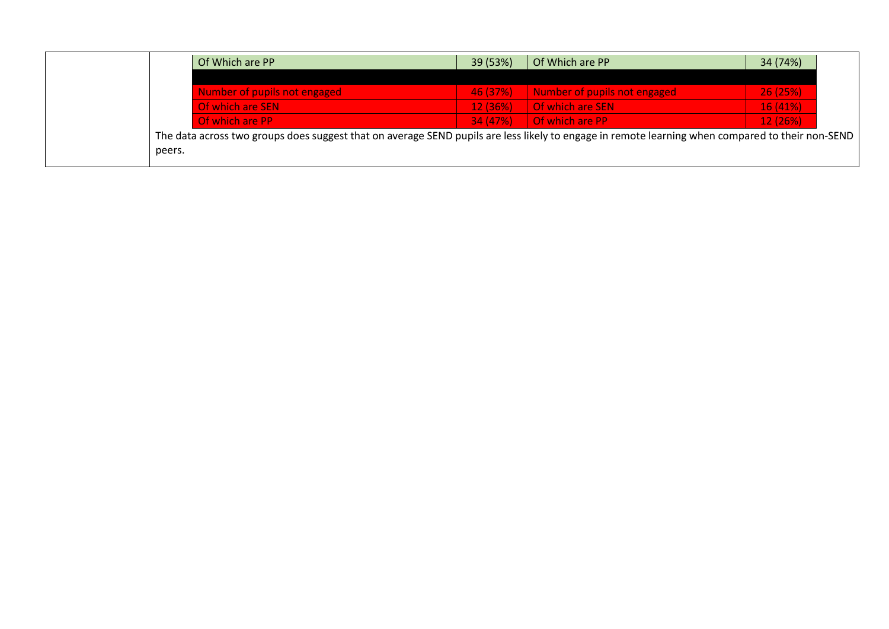| Of Which are PP                                                                                                                                  | 39 (53%) | Of Which are PP              | 34 (74%) |
|--------------------------------------------------------------------------------------------------------------------------------------------------|----------|------------------------------|----------|
|                                                                                                                                                  |          |                              |          |
| Number of pupils not engaged                                                                                                                     | 46 (37%) | Number of pupils not engaged | 26(25%)  |
| Of which are SEN                                                                                                                                 | 12(36%)  | Of which are SEN             | 16(41%)  |
| Of which are PP                                                                                                                                  | 34(47%)  | Of which are PP              | 12(26%)  |
| The data across two groups does suggest that on average SEND pupils are less likely to engage in remote learning when compared to their non-SEND |          |                              |          |
| peers.                                                                                                                                           |          |                              |          |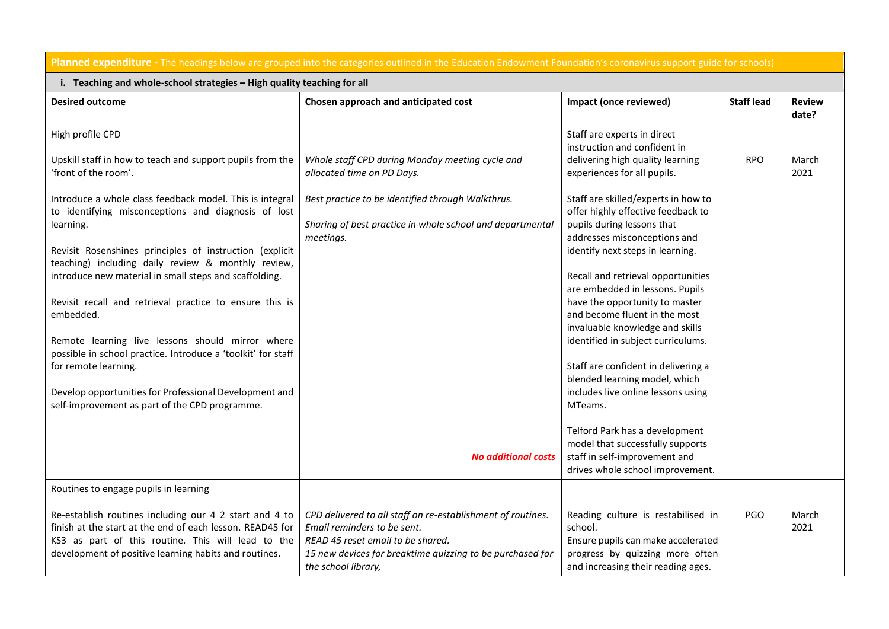|                                                                                                                                                                                                                                                                                                                                                                                                                                                                                                                                                                                                                                                                                                                                                  | <b>Planned expenditure</b> - The headings below are grouped into the categories outlined in the Education Endowment Foundation's coronavirus support guide for schools)                                             |                                                                                                                                                                                                                                                                                                                                                                                                                                                                                                                                                                                                                                                                                               |                   |                        |
|--------------------------------------------------------------------------------------------------------------------------------------------------------------------------------------------------------------------------------------------------------------------------------------------------------------------------------------------------------------------------------------------------------------------------------------------------------------------------------------------------------------------------------------------------------------------------------------------------------------------------------------------------------------------------------------------------------------------------------------------------|---------------------------------------------------------------------------------------------------------------------------------------------------------------------------------------------------------------------|-----------------------------------------------------------------------------------------------------------------------------------------------------------------------------------------------------------------------------------------------------------------------------------------------------------------------------------------------------------------------------------------------------------------------------------------------------------------------------------------------------------------------------------------------------------------------------------------------------------------------------------------------------------------------------------------------|-------------------|------------------------|
| i. Teaching and whole-school strategies - High quality teaching for all                                                                                                                                                                                                                                                                                                                                                                                                                                                                                                                                                                                                                                                                          |                                                                                                                                                                                                                     |                                                                                                                                                                                                                                                                                                                                                                                                                                                                                                                                                                                                                                                                                               |                   |                        |
| <b>Desired outcome</b>                                                                                                                                                                                                                                                                                                                                                                                                                                                                                                                                                                                                                                                                                                                           | Chosen approach and anticipated cost                                                                                                                                                                                | Impact (once reviewed)                                                                                                                                                                                                                                                                                                                                                                                                                                                                                                                                                                                                                                                                        | <b>Staff lead</b> | <b>Review</b><br>date? |
| High profile CPD<br>Upskill staff in how to teach and support pupils from the<br>'front of the room'.<br>Introduce a whole class feedback model. This is integral<br>to identifying misconceptions and diagnosis of lost<br>learning.<br>Revisit Rosenshines principles of instruction (explicit<br>teaching) including daily review & monthly review,<br>introduce new material in small steps and scaffolding.<br>Revisit recall and retrieval practice to ensure this is<br>embedded.<br>Remote learning live lessons should mirror where<br>possible in school practice. Introduce a 'toolkit' for staff<br>for remote learning.<br>Develop opportunities for Professional Development and<br>self-improvement as part of the CPD programme. | Whole staff CPD during Monday meeting cycle and<br>allocated time on PD Days.<br>Best practice to be identified through Walkthrus.<br>Sharing of best practice in whole school and departmental<br>meetings.        | Staff are experts in direct<br>instruction and confident in<br>delivering high quality learning<br>experiences for all pupils.<br>Staff are skilled/experts in how to<br>offer highly effective feedback to<br>pupils during lessons that<br>addresses misconceptions and<br>identify next steps in learning.<br>Recall and retrieval opportunities<br>are embedded in lessons. Pupils<br>have the opportunity to master<br>and become fluent in the most<br>invaluable knowledge and skills<br>identified in subject curriculums.<br>Staff are confident in delivering a<br>blended learning model, which<br>includes live online lessons using<br>MTeams.<br>Telford Park has a development | <b>RPO</b>        | March<br>2021          |
|                                                                                                                                                                                                                                                                                                                                                                                                                                                                                                                                                                                                                                                                                                                                                  | <b>No additional costs</b>                                                                                                                                                                                          | model that successfully supports<br>staff in self-improvement and<br>drives whole school improvement.                                                                                                                                                                                                                                                                                                                                                                                                                                                                                                                                                                                         |                   |                        |
| Routines to engage pupils in learning                                                                                                                                                                                                                                                                                                                                                                                                                                                                                                                                                                                                                                                                                                            |                                                                                                                                                                                                                     |                                                                                                                                                                                                                                                                                                                                                                                                                                                                                                                                                                                                                                                                                               |                   |                        |
| Re-establish routines including our 4 2 start and 4 to<br>finish at the start at the end of each lesson. READ45 for<br>KS3 as part of this routine. This will lead to the<br>development of positive learning habits and routines.                                                                                                                                                                                                                                                                                                                                                                                                                                                                                                               | CPD delivered to all staff on re-establishment of routines.<br>Email reminders to be sent.<br>READ 45 reset email to be shared.<br>15 new devices for breaktime quizzing to be purchased for<br>the school library, | Reading culture is restabilised in<br>school.<br>Ensure pupils can make accelerated<br>progress by quizzing more often<br>and increasing their reading ages.                                                                                                                                                                                                                                                                                                                                                                                                                                                                                                                                  | PGO               | March<br>2021          |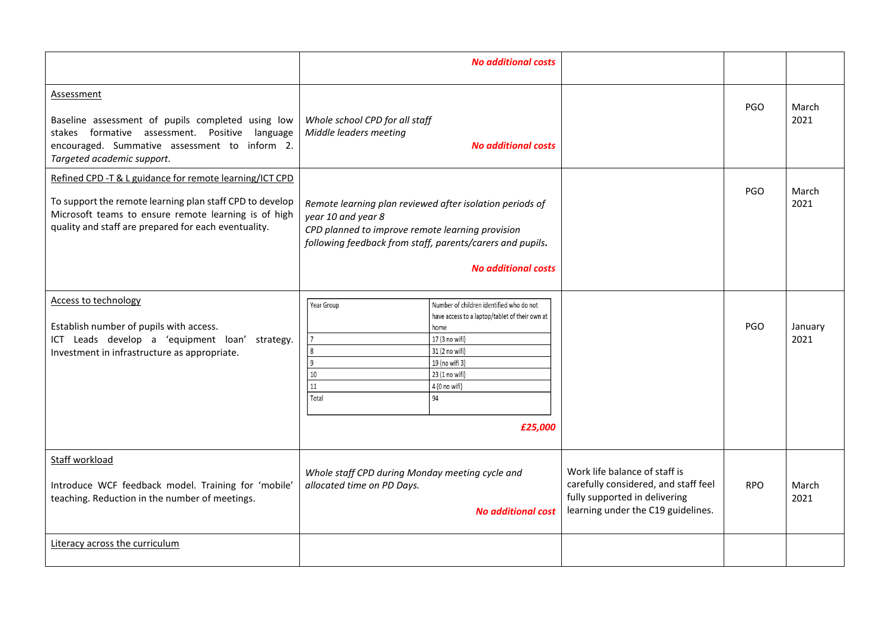|                                                                                                                                                                                                                                     | <b>No additional costs</b>                                                                                                                                                                                                                                  |                                                                                                                                              |            |                 |
|-------------------------------------------------------------------------------------------------------------------------------------------------------------------------------------------------------------------------------------|-------------------------------------------------------------------------------------------------------------------------------------------------------------------------------------------------------------------------------------------------------------|----------------------------------------------------------------------------------------------------------------------------------------------|------------|-----------------|
| <b>Assessment</b><br>Baseline assessment of pupils completed using low<br>stakes formative assessment. Positive language<br>encouraged. Summative assessment to inform 2.<br>Targeted academic support.                             | Whole school CPD for all staff<br>Middle leaders meeting<br><b>No additional costs</b>                                                                                                                                                                      |                                                                                                                                              | PGO        | March<br>2021   |
| Refined CPD -T & L guidance for remote learning/ICT CPD<br>To support the remote learning plan staff CPD to develop<br>Microsoft teams to ensure remote learning is of high<br>quality and staff are prepared for each eventuality. | Remote learning plan reviewed after isolation periods of<br>year 10 and year 8<br>CPD planned to improve remote learning provision<br>following feedback from staff, parents/carers and pupils.<br><b>No additional costs</b>                               |                                                                                                                                              | PGO        | March<br>2021   |
| <b>Access to technology</b><br>Establish number of pupils with access.<br>ICT Leads develop a 'equipment loan' strategy.<br>Investment in infrastructure as appropriate.                                                            | Number of children identified who do not<br>Year Group<br>have access to a laptop/tablet of their own at<br>home<br>17 (3 no wifi)<br>8<br>31 (2 no wifi)<br>و ا<br>19 (no wifi 3)<br>10<br>23 (1 no wifi)<br>11<br>4 (0 no wifi)<br>94<br>Total<br>£25,000 |                                                                                                                                              | PGO        | January<br>2021 |
| Staff workload<br>Introduce WCF feedback model. Training for 'mobile'<br>teaching. Reduction in the number of meetings.                                                                                                             | Whole staff CPD during Monday meeting cycle and<br>allocated time on PD Days.<br><b>No additional cost</b>                                                                                                                                                  | Work life balance of staff is<br>carefully considered, and staff feel<br>fully supported in delivering<br>learning under the C19 guidelines. | <b>RPO</b> | March<br>2021   |
| Literacy across the curriculum                                                                                                                                                                                                      |                                                                                                                                                                                                                                                             |                                                                                                                                              |            |                 |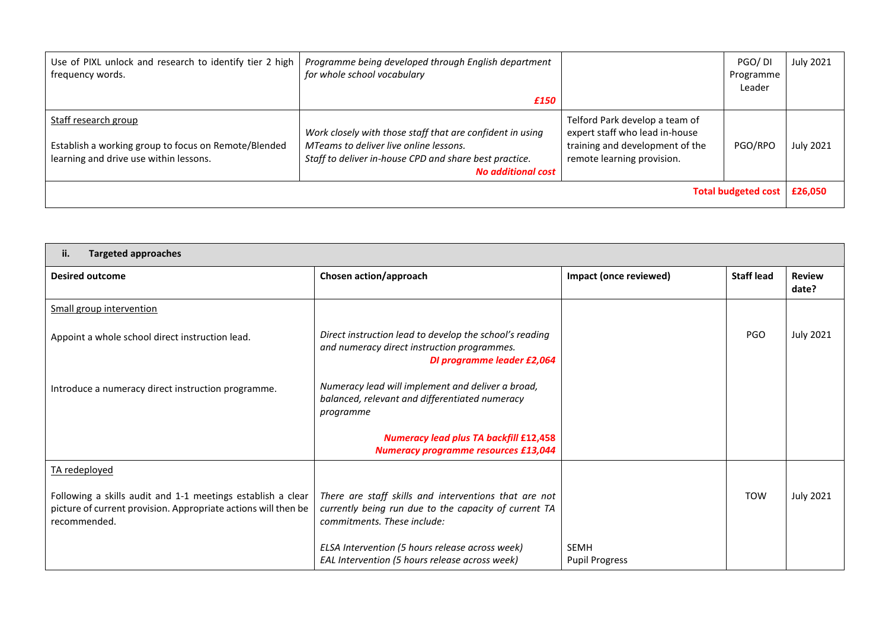| Use of PIXL unlock and research to identify tier 2 high<br>frequency words.                                            | Programme being developed through English department<br>for whole school vocabulary<br>£150                                                                                                |                                                                                                                                   | PGO/DI<br>Programme<br>Leader | <b>July 2021</b> |
|------------------------------------------------------------------------------------------------------------------------|--------------------------------------------------------------------------------------------------------------------------------------------------------------------------------------------|-----------------------------------------------------------------------------------------------------------------------------------|-------------------------------|------------------|
| Staff research group<br>Establish a working group to focus on Remote/Blended<br>learning and drive use within lessons. | Work closely with those staff that are confident in using<br>MTeams to deliver live online lessons.<br>Staff to deliver in-house CPD and share best practice.<br><b>No additional cost</b> | Telford Park develop a team of<br>expert staff who lead in-house<br>training and development of the<br>remote learning provision. | PGO/RPO                       | <b>July 2021</b> |
|                                                                                                                        |                                                                                                                                                                                            |                                                                                                                                   | <b>Total budgeted cost</b>    | £26,050          |

| ii.<br><b>Targeted approaches</b>                                                                                                             |                                                                                                                                               |                                      |                   |                        |
|-----------------------------------------------------------------------------------------------------------------------------------------------|-----------------------------------------------------------------------------------------------------------------------------------------------|--------------------------------------|-------------------|------------------------|
| <b>Desired outcome</b>                                                                                                                        | Chosen action/approach                                                                                                                        | Impact (once reviewed)               | <b>Staff lead</b> | <b>Review</b><br>date? |
| Small group intervention                                                                                                                      |                                                                                                                                               |                                      |                   |                        |
| Appoint a whole school direct instruction lead.                                                                                               | Direct instruction lead to develop the school's reading<br>and numeracy direct instruction programmes.<br>DI programme leader £2,064          |                                      | <b>PGO</b>        | <b>July 2021</b>       |
| Introduce a numeracy direct instruction programme.                                                                                            | Numeracy lead will implement and deliver a broad,<br>balanced, relevant and differentiated numeracy<br>programme                              |                                      |                   |                        |
|                                                                                                                                               | <b>Numeracy lead plus TA backfill £12,458</b><br><b>Numeracy programme resources £13,044</b>                                                  |                                      |                   |                        |
| TA redeployed                                                                                                                                 |                                                                                                                                               |                                      |                   |                        |
| Following a skills audit and 1-1 meetings establish a clear<br>picture of current provision. Appropriate actions will then be<br>recommended. | There are staff skills and interventions that are not<br>currently being run due to the capacity of current TA<br>commitments. These include: |                                      | <b>TOW</b>        | <b>July 2021</b>       |
|                                                                                                                                               | ELSA Intervention (5 hours release across week)<br>EAL Intervention (5 hours release across week)                                             | <b>SEMH</b><br><b>Pupil Progress</b> |                   |                        |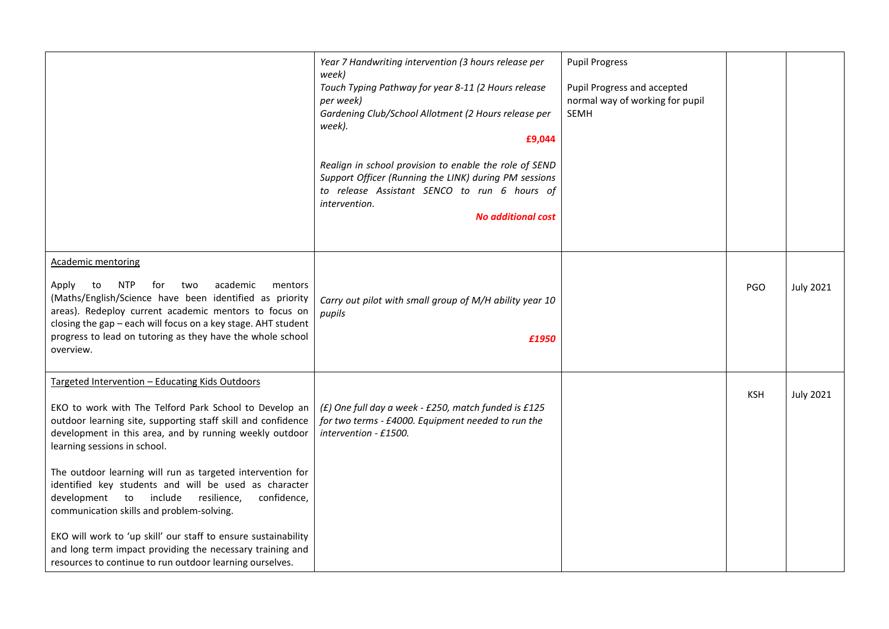|                                                                                                                                                                                                                                                                                                                                                                                                                                                                                                                                                                                                                                                                                             | Year 7 Handwriting intervention (3 hours release per<br>week)<br>Touch Typing Pathway for year 8-11 (2 Hours release<br>per week)<br>Gardening Club/School Allotment (2 Hours release per<br>week).<br>£9,044<br>Realign in school provision to enable the role of SEND<br>Support Officer (Running the LINK) during PM sessions<br>to release Assistant SENCO to run 6 hours of<br>intervention.<br><b>No additional cost</b> | <b>Pupil Progress</b><br>Pupil Progress and accepted<br>normal way of working for pupil<br><b>SEMH</b> |            |                  |
|---------------------------------------------------------------------------------------------------------------------------------------------------------------------------------------------------------------------------------------------------------------------------------------------------------------------------------------------------------------------------------------------------------------------------------------------------------------------------------------------------------------------------------------------------------------------------------------------------------------------------------------------------------------------------------------------|--------------------------------------------------------------------------------------------------------------------------------------------------------------------------------------------------------------------------------------------------------------------------------------------------------------------------------------------------------------------------------------------------------------------------------|--------------------------------------------------------------------------------------------------------|------------|------------------|
| <b>Academic mentoring</b><br><b>NTP</b><br>academic<br>Apply<br>to<br>for<br>two<br>mentors<br>(Maths/English/Science have been identified as priority<br>areas). Redeploy current academic mentors to focus on<br>closing the gap - each will focus on a key stage. AHT student<br>progress to lead on tutoring as they have the whole school<br>overview.                                                                                                                                                                                                                                                                                                                                 | Carry out pilot with small group of M/H ability year 10<br>pupils<br>£1950                                                                                                                                                                                                                                                                                                                                                     |                                                                                                        | <b>PGO</b> | <b>July 2021</b> |
| Targeted Intervention - Educating Kids Outdoors<br>EKO to work with The Telford Park School to Develop an<br>outdoor learning site, supporting staff skill and confidence<br>development in this area, and by running weekly outdoor<br>learning sessions in school.<br>The outdoor learning will run as targeted intervention for<br>identified key students and will be used as character<br>development to include<br>resilience,<br>confidence,<br>communication skills and problem-solving.<br>EKO will work to 'up skill' our staff to ensure sustainability<br>and long term impact providing the necessary training and<br>resources to continue to run outdoor learning ourselves. | (£) One full day a week - £250, match funded is £125<br>for two terms - £4000. Equipment needed to run the<br>intervention - £1500.                                                                                                                                                                                                                                                                                            |                                                                                                        | <b>KSH</b> | <b>July 2021</b> |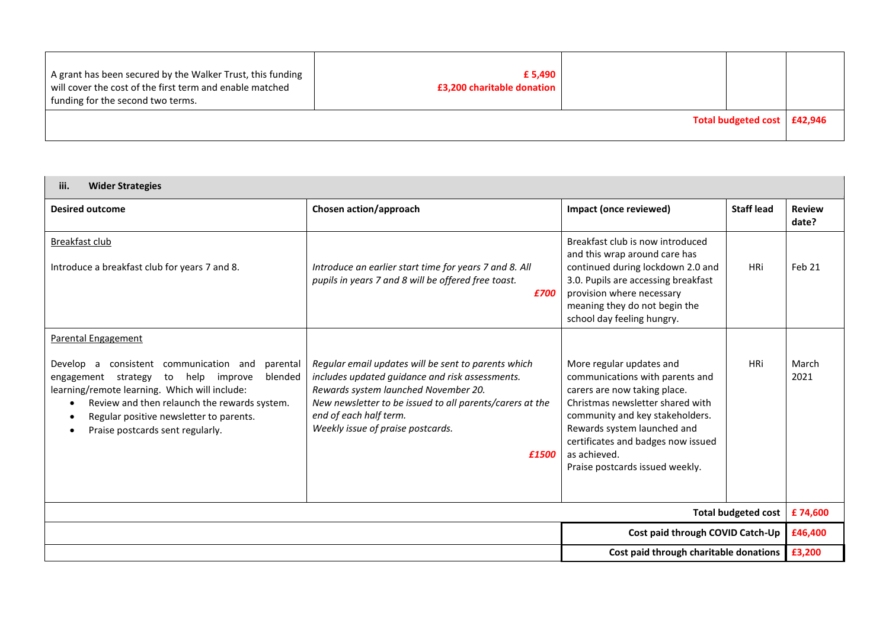| A grant has been secured by the Walker Trust, this funding<br>will cover the cost of the first term and enable matched<br>funding for the second two terms. | £ 5,490<br>£3,200 charitable donation |                               |  |
|-------------------------------------------------------------------------------------------------------------------------------------------------------------|---------------------------------------|-------------------------------|--|
|                                                                                                                                                             |                                       | Total budgeted cost   £42,946 |  |

| <b>Wider Strategies</b><br>iii.                                                                                                                                                                                                                                                                                                         |                                                                                                                                                                                                                                                                                    |                                                                                                                                                                                                                                                                                            |                   |                        |
|-----------------------------------------------------------------------------------------------------------------------------------------------------------------------------------------------------------------------------------------------------------------------------------------------------------------------------------------|------------------------------------------------------------------------------------------------------------------------------------------------------------------------------------------------------------------------------------------------------------------------------------|--------------------------------------------------------------------------------------------------------------------------------------------------------------------------------------------------------------------------------------------------------------------------------------------|-------------------|------------------------|
| <b>Desired outcome</b>                                                                                                                                                                                                                                                                                                                  | Chosen action/approach                                                                                                                                                                                                                                                             | Impact (once reviewed)                                                                                                                                                                                                                                                                     | <b>Staff lead</b> | <b>Review</b><br>date? |
| Breakfast club<br>Introduce a breakfast club for years 7 and 8.                                                                                                                                                                                                                                                                         | Introduce an earlier start time for years 7 and 8. All<br>pupils in years 7 and 8 will be offered free toast.<br>£700                                                                                                                                                              | Breakfast club is now introduced<br>and this wrap around care has<br>continued during lockdown 2.0 and<br>3.0. Pupils are accessing breakfast<br>provision where necessary<br>meaning they do not begin the<br>school day feeling hungry.                                                  | <b>HRi</b>        | Feb 21                 |
| <b>Parental Engagement</b>                                                                                                                                                                                                                                                                                                              |                                                                                                                                                                                                                                                                                    |                                                                                                                                                                                                                                                                                            |                   |                        |
| consistent communication and<br>parental<br>Develop<br>a<br>blended<br>to<br>help improve<br>engagement strategy<br>learning/remote learning. Which will include:<br>Review and then relaunch the rewards system.<br>$\bullet$<br>Regular positive newsletter to parents.<br>$\bullet$<br>Praise postcards sent regularly.<br>$\bullet$ | Regular email updates will be sent to parents which<br>includes updated guidance and risk assessments.<br>Rewards system launched November 20.<br>New newsletter to be issued to all parents/carers at the<br>end of each half term.<br>Weekly issue of praise postcards.<br>£1500 | More regular updates and<br>communications with parents and<br>carers are now taking place.<br>Christmas newsletter shared with<br>community and key stakeholders.<br>Rewards system launched and<br>certificates and badges now issued<br>as achieved.<br>Praise postcards issued weekly. | <b>HRi</b>        | March<br>2021          |
| <b>Total budgeted cost</b>                                                                                                                                                                                                                                                                                                              |                                                                                                                                                                                                                                                                                    |                                                                                                                                                                                                                                                                                            |                   |                        |
| Cost paid through COVID Catch-Up                                                                                                                                                                                                                                                                                                        |                                                                                                                                                                                                                                                                                    |                                                                                                                                                                                                                                                                                            |                   | £46,400                |
|                                                                                                                                                                                                                                                                                                                                         |                                                                                                                                                                                                                                                                                    | Cost paid through charitable donations                                                                                                                                                                                                                                                     |                   | £3,200                 |